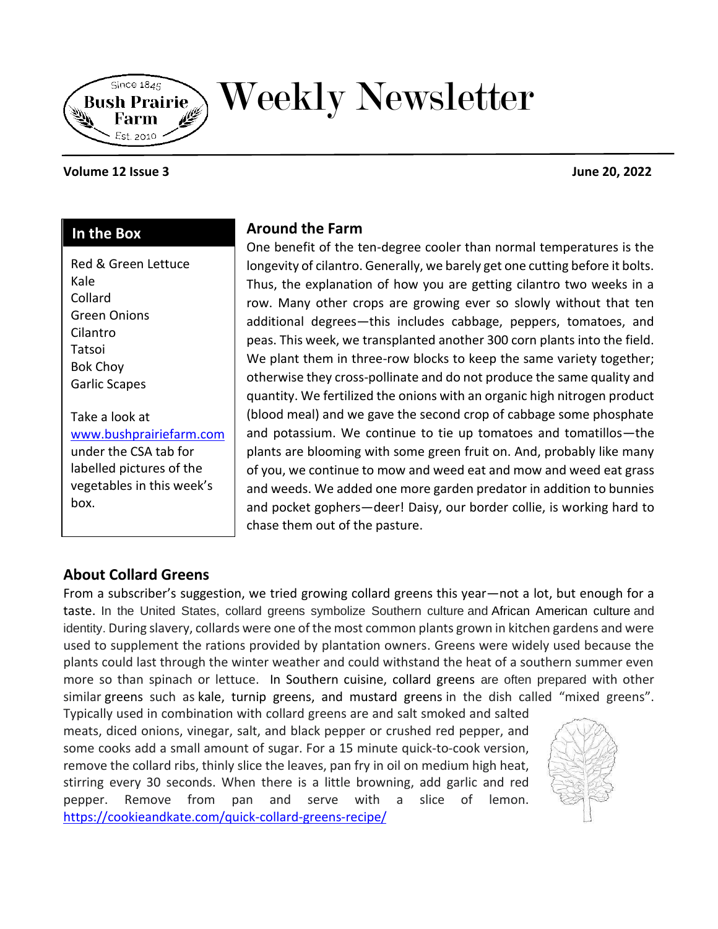

# Weekly Newsletter

#### **Volume 12 Issue 3 June 20, 2022**

#### **In the Box**

Red & Green Lettuce Kale Collard Green Onions Cilantro Tatsoi Bok Choy Garlic Scapes

Take a look at [www.bushprairiefarm.com](http://www.bushprairiefarm.com/)  under the CSA tab for labelled pictures of the vegetables in this week's box.

## **Around the Farm**

One benefit of the ten-degree cooler than normal temperatures is the longevity of cilantro. Generally, we barely get one cutting before it bolts. Thus, the explanation of how you are getting cilantro two weeks in a row. Many other crops are growing ever so slowly without that ten additional degrees—this includes cabbage, peppers, tomatoes, and peas. This week, we transplanted another 300 corn plants into the field. We plant them in three-row blocks to keep the same variety together; otherwise they cross-pollinate and do not produce the same quality and quantity. We fertilized the onions with an organic high nitrogen product (blood meal) and we gave the second crop of cabbage some phosphate and potassium. We continue to tie up tomatoes and tomatillos—the plants are blooming with some green fruit on. And, probably like many of you, we continue to mow and weed eat and mow and weed eat grass and weeds. We added one more garden predator in addition to bunnies and pocket gophers—deer! Daisy, our border collie, is working hard to chase them out of the pasture.

## **About Collard Greens**

From a subscriber's suggestion, we tried growing collard greens this year—not a lot, but enough for a taste. In the United States, collard greens symbolize Southern culture and African American culture and identity. During slavery, collards were one of the most common plants grown in kitchen gardens and were used to supplement the rations provided by plantation owners. Greens were widely used because the plants could last through the winter weather and could withstand the heat of a southern summer even more so than spinach or lettuce. In Southern cuisine, collard greens are often prepared with other similar greens such as kale, turnip greens, and mustard greens in the dish called "mixed greens".

Typically used in combination with collard greens are and salt smoked and salted meats, diced onions, vinegar, salt, and black pepper or crushed red pepper, and some cooks add a small amount of sugar. For a 15 minute quick-to-cook version, remove the collard ribs, thinly slice the leaves, pan fry in oil on medium high heat, stirring every 30 seconds. When there is a little browning, add garlic and red pepper. Remove from pan and serve with a slice of lemon. <https://cookieandkate.com/quick-collard-greens-recipe/>